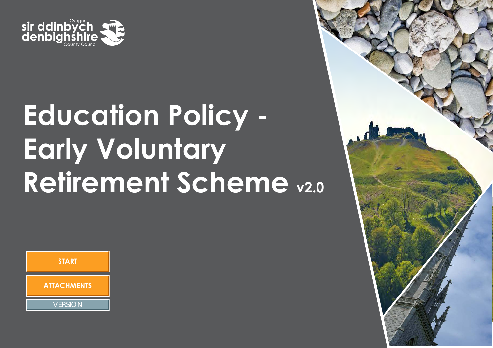

# **Education Policy - Early Voluntary Retirement Scheme v2.0**



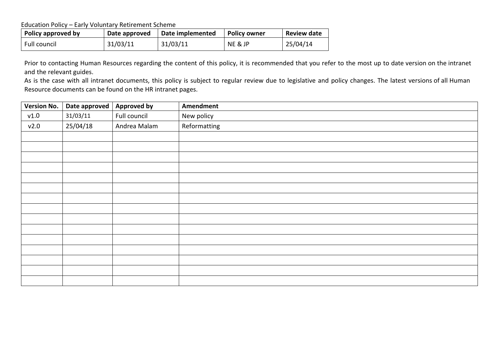Education Policy – Early Voluntary Retirement Scheme

| Policy approved by | Date approved | Date implemented | <b>Policy owner</b> | <b>Review date</b> |
|--------------------|---------------|------------------|---------------------|--------------------|
| Full council       | 31/03/11      | 31/03/11         | NE & JP             | 25/04/14           |

Prior to contacting Human Resources regarding the content of this policy, it is recommended that you refer to the most up to date version on the intranet and the relevant guides.

As is the case with all intranet documents, this policy is subject to regular review due to legislative and policy changes. The latest versions of all Human Resource documents can be found on the HR intranet pages.

| <b>Version No.</b> | Date approved | <b>Approved by</b> | Amendment    |
|--------------------|---------------|--------------------|--------------|
| v1.0               | 31/03/11      | Full council       | New policy   |
| v2.0               | 25/04/18      | Andrea Malam       | Reformatting |
|                    |               |                    |              |
|                    |               |                    |              |
|                    |               |                    |              |
|                    |               |                    |              |
|                    |               |                    |              |
|                    |               |                    |              |
|                    |               |                    |              |
|                    |               |                    |              |
|                    |               |                    |              |
|                    |               |                    |              |
|                    |               |                    |              |
|                    |               |                    |              |
|                    |               |                    |              |
|                    |               |                    |              |
|                    |               |                    |              |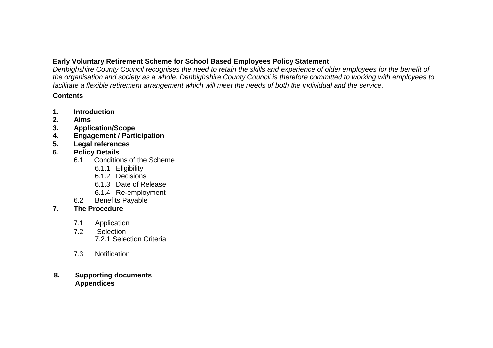# **Early Voluntary Retirement Scheme for School Based Employees Policy Statement**

*Denbighshire County Council recognises the need to retain the skills and experience of older employees for the benefit of the organisation and society as a whole. Denbighshire County Council is therefore committed to working with employees to facilitate a flexible retirement arrangement which will meet the needs of both the individual and the service.*

## **Contents**

- **1. Introduction**
- **2. Aims**
- **3. Application/Scope**
- **4. Engagement / Participation**
- **5. Legal references**
- **6. Policy Details**
	- 6.1 Conditions of the Scheme
		- 6.1.1 Eligibility
		- 6.1.2 Decisions
		- 6.1.3 Date of Release
		- 6.1.4 Re-employment
	- 6.2 Benefits Payable

# **7. The Procedure**

- 7.1 Application<br>7.2 Selection
- Selection 7.2.1 Selection Criteria
- 7.3 Notification

# **8. Supporting documents Appendices**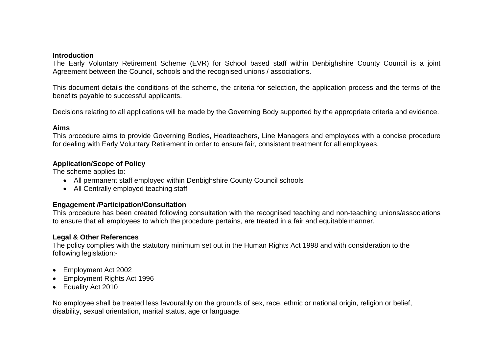#### **Introduction**

The Early Voluntary Retirement Scheme (EVR) for School based staff within Denbighshire County Council is a joint Agreement between the Council, schools and the recognised unions / associations.

This document details the conditions of the scheme, the criteria for selection, the application process and the terms of the benefits payable to successful applicants.

Decisions relating to all applications will be made by the Governing Body supported by the appropriate criteria and evidence.

#### **Aims**

This procedure aims to provide Governing Bodies, Headteachers, Line Managers and employees with a concise procedure for dealing with Early Voluntary Retirement in order to ensure fair, consistent treatment for all employees.

#### **Application/Scope of Policy**

The scheme applies to:

- All permanent staff employed within Denbighshire County Council schools
- All Centrally employed teaching staff

## **Engagement /Participation/Consultation**

This procedure has been created following consultation with the recognised teaching and non-teaching unions/associations to ensure that all employees to which the procedure pertains, are treated in a fair and equitable manner.

## **Legal & Other References**

The policy complies with the statutory minimum set out in the Human Rights Act 1998 and with consideration to the following legislation:-

- Employment Act 2002
- Employment Rights Act 1996
- Equality Act 2010

No employee shall be treated less favourably on the grounds of sex, race, ethnic or national origin, religion or belief, disability, sexual orientation, marital status, age or language.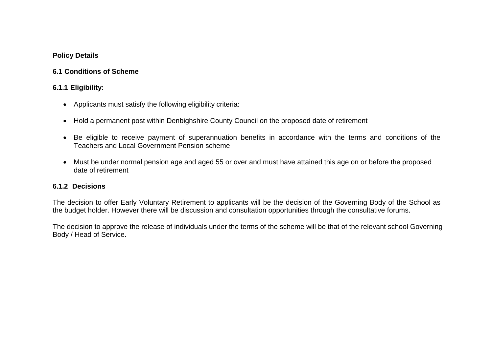## **Policy Details**

# **6.1 Conditions of Scheme**

# **6.1.1 Eligibility:**

- Applicants must satisfy the following eligibility criteria:
- Hold a permanent post within Denbighshire County Council on the proposed date of retirement
- Be eligible to receive payment of superannuation benefits in accordance with the terms and conditions of the Teachers and Local Government Pension scheme
- Must be under normal pension age and aged 55 or over and must have attained this age on or before the proposed date of retirement

# **6.1.2 Decisions**

The decision to offer Early Voluntary Retirement to applicants will be the decision of the Governing Body of the School as the budget holder. However there will be discussion and consultation opportunities through the consultative forums.

The decision to approve the release of individuals under the terms of the scheme will be that of the relevant school Governing Body / Head of Service.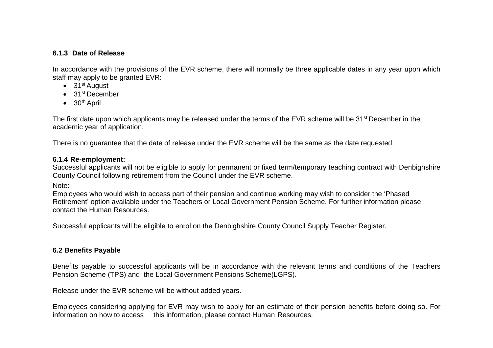## **6.1.3 Date of Release**

In accordance with the provisions of the EVR scheme, there will normally be three applicable dates in any year upon which staff may apply to be granted EVR:

- $\bullet$  31<sup>st</sup> August
- 31<sup>st</sup> December
- $\bullet$  30<sup>th</sup> April

The first date upon which applicants may be released under the terms of the EVR scheme will be 31st December in the academic year of application.

There is no guarantee that the date of release under the EVR scheme will be the same as the date requested.

## **6.1.4 Re-employment:**

Successful applicants will not be eligible to apply for permanent or fixed term/temporary teaching contract with Denbighshire County Council following retirement from the Council under the EVR scheme.

Note:

Employees who would wish to access part of their pension and continue working may wish to consider the 'Phased Retirement' option available under the Teachers or Local Government Pension Scheme. For further information please contact the Human Resources.

Successful applicants will be eligible to enrol on the Denbighshire County Council Supply Teacher Register.

# **6.2 Benefits Payable**

Benefits payable to successful applicants will be in accordance with the relevant terms and conditions of the Teachers Pension Scheme (TPS) and the Local Government Pensions Scheme(LGPS).

Release under the EVR scheme will be without added years.

Employees considering applying for EVR may wish to apply for an estimate of their pension benefits before doing so. For information on how to access this information, please contact Human Resources.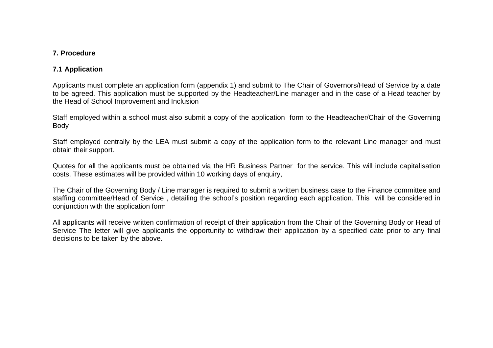## **7. Procedure**

# **7.1 Application**

Applicants must complete an application form (appendix 1) and submit to The Chair of Governors/Head of Service by a date to be agreed. This application must be supported by the Headteacher/Line manager and in the case of a Head teacher by the Head of School Improvement and Inclusion

Staff employed within a school must also submit a copy of the application form to the Headteacher/Chair of the Governing Body

Staff employed centrally by the LEA must submit a copy of the application form to the relevant Line manager and must obtain their support.

Quotes for all the applicants must be obtained via the HR Business Partner for the service. This will include capitalisation costs. These estimates will be provided within 10 working days of enquiry,

The Chair of the Governing Body / Line manager is required to submit a written business case to the Finance committee and staffing committee/Head of Service , detailing the school's position regarding each application. This will be considered in conjunction with the application form

All applicants will receive written confirmation of receipt of their application from the Chair of the Governing Body or Head of Service The letter will give applicants the opportunity to withdraw their application by a specified date prior to any final decisions to be taken by the above.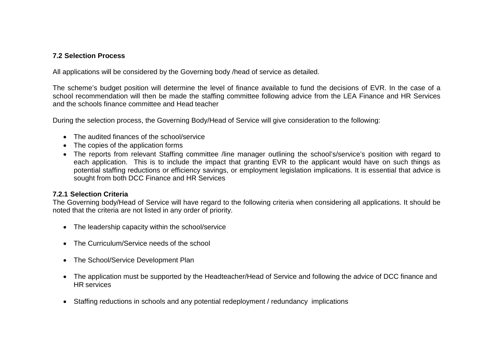# **7.2 Selection Process**

All applications will be considered by the Governing body /head of service as detailed.

The scheme's budget position will determine the level of finance available to fund the decisions of EVR. In the case of a school recommendation will then be made the staffing committee following advice from the LEA Finance and HR Services and the schools finance committee and Head teacher

During the selection process, the Governing Body/Head of Service will give consideration to the following:

- The audited finances of the school/service
- The copies of the application forms
- The reports from relevant Staffing committee /line manager outlining the school's/service's position with regard to each application. This is to include the impact that granting EVR to the applicant would have on such things as potential staffing reductions or efficiency savings, or employment legislation implications. It is essential that advice is sought from both DCC Finance and HR Services

# **7.2.1 Selection Criteria**

The Governing body/Head of Service will have regard to the following criteria when considering all applications. It should be noted that the criteria are not listed in any order of priority.

- The leadership capacity within the school/service
- The Curriculum/Service needs of the school
- The School/Service Development Plan
- The application must be supported by the Headteacher/Head of Service and following the advice of DCC finance and HR services
- Staffing reductions in schools and any potential redeployment / redundancy implications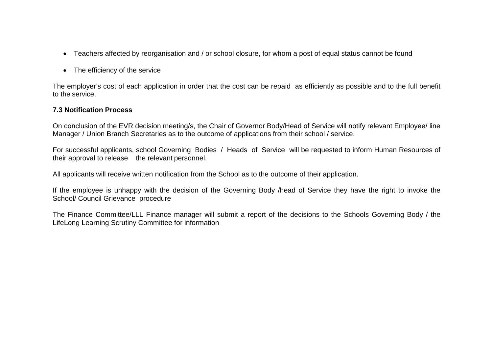- Teachers affected by reorganisation and / or school closure, for whom a post of equal status cannot be found
- The efficiency of the service

The employer's cost of each application in order that the cost can be repaid as efficiently as possible and to the full benefit to the service.

## **7.3 Notification Process**

On conclusion of the EVR decision meeting/s, the Chair of Governor Body/Head of Service will notify relevant Employee/ line Manager / Union Branch Secretaries as to the outcome of applications from their school / service.

For successful applicants, school Governing Bodies / Heads of Service will be requested to inform Human Resources of their approval to release the relevant personnel.

All applicants will receive written notification from the School as to the outcome of their application.

If the employee is unhappy with the decision of the Governing Body /head of Service they have the right to invoke the School/ Council Grievance procedure

The Finance Committee/LLL Finance manager will submit a report of the decisions to the Schools Governing Body / the LifeLong Learning Scrutiny Committee for information